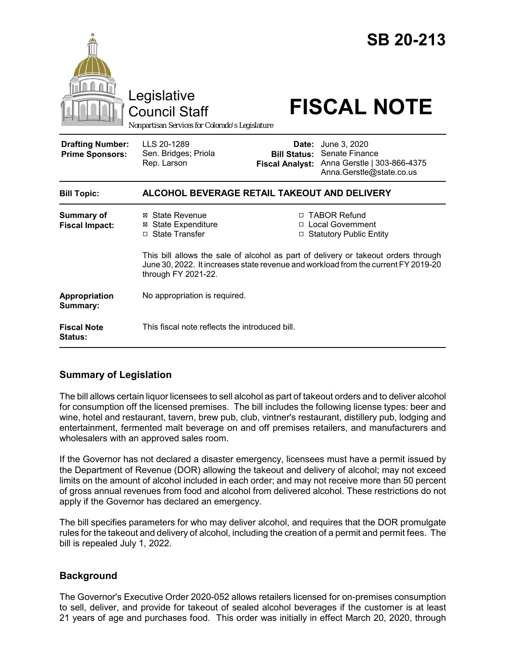

# **Summary of Legislation**

The bill allows certain liquor licensees to sell alcohol as part of takeout orders and to deliver alcohol for consumption off the licensed premises. The bill includes the following license types: beer and wine, hotel and restaurant, tavern, brew pub, club, vintner's restaurant, distillery pub, lodging and entertainment, fermented malt beverage on and off premises retailers, and manufacturers and wholesalers with an approved sales room.

If the Governor has not declared a disaster emergency, licensees must have a permit issued by the Department of Revenue (DOR) allowing the takeout and delivery of alcohol; may not exceed limits on the amount of alcohol included in each order; and may not receive more than 50 percent of gross annual revenues from food and alcohol from delivered alcohol. These restrictions do not apply if the Governor has declared an emergency.

The bill specifies parameters for who may deliver alcohol, and requires that the DOR promulgate rules for the takeout and delivery of alcohol, including the creation of a permit and permit fees. The bill is repealed July 1, 2022.

# **Background**

The Governor's Executive Order 2020-052 allows retailers licensed for on-premises consumption to sell, deliver, and provide for takeout of sealed alcohol beverages if the customer is at least 21 years of age and purchases food. This order was initially in effect March 20, 2020, through